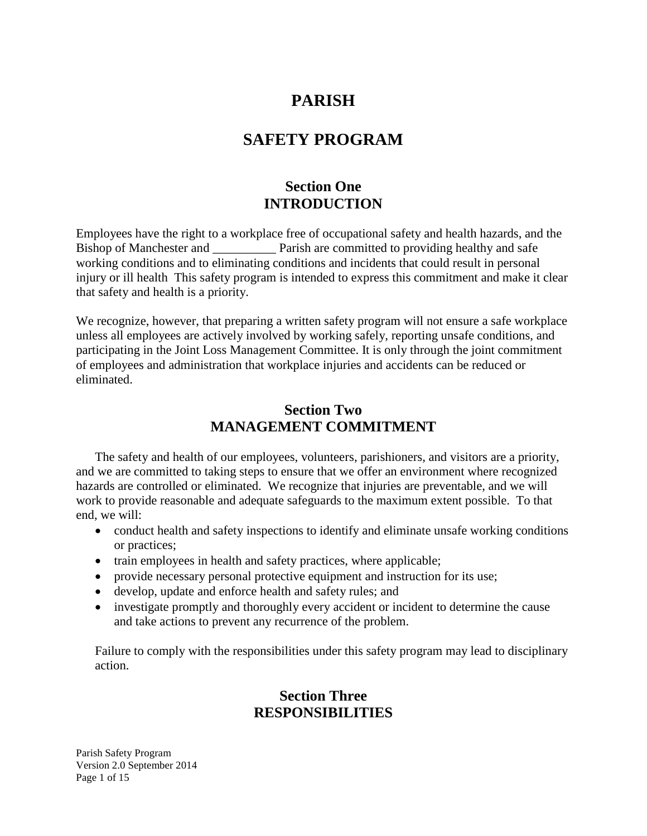# **PARISH**

# **SAFETY PROGRAM**

# **Section One INTRODUCTION**

Employees have the right to a workplace free of occupational safety and health hazards, and the Bishop of Manchester and \_\_\_\_\_\_\_\_\_\_\_\_\_ Parish are committed to providing healthy and safe working conditions and to eliminating conditions and incidents that could result in personal injury or ill health This safety program is intended to express this commitment and make it clear that safety and health is a priority.

We recognize, however, that preparing a written safety program will not ensure a safe workplace unless all employees are actively involved by working safely, reporting unsafe conditions, and participating in the Joint Loss Management Committee. It is only through the joint commitment of employees and administration that workplace injuries and accidents can be reduced or eliminated.

## **Section Two MANAGEMENT COMMITMENT**

The safety and health of our employees, volunteers, parishioners, and visitors are a priority, and we are committed to taking steps to ensure that we offer an environment where recognized hazards are controlled or eliminated. We recognize that injuries are preventable, and we will work to provide reasonable and adequate safeguards to the maximum extent possible. To that end, we will:

- conduct health and safety inspections to identify and eliminate unsafe working conditions or practices;
- train employees in health and safety practices, where applicable;
- provide necessary personal protective equipment and instruction for its use;
- develop, update and enforce health and safety rules; and
- investigate promptly and thoroughly every accident or incident to determine the cause and take actions to prevent any recurrence of the problem.

Failure to comply with the responsibilities under this safety program may lead to disciplinary action.

# **Section Three RESPONSIBILITIES**

Parish Safety Program Version 2.0 September 2014 Page 1 of 15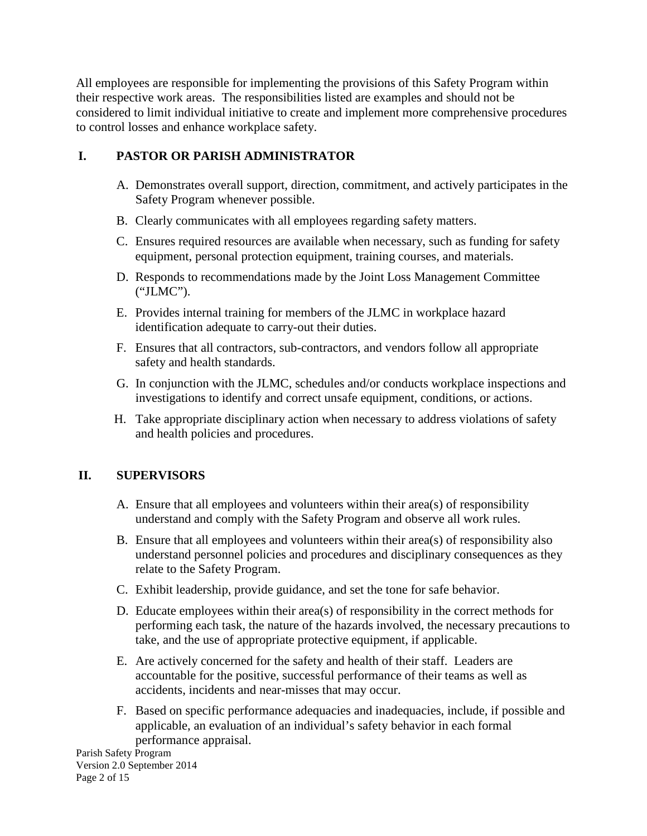All employees are responsible for implementing the provisions of this Safety Program within their respective work areas. The responsibilities listed are examples and should not be considered to limit individual initiative to create and implement more comprehensive procedures to control losses and enhance workplace safety.

### **I. PASTOR OR PARISH ADMINISTRATOR**

- A. Demonstrates overall support, direction, commitment, and actively participates in the Safety Program whenever possible.
- B. Clearly communicates with all employees regarding safety matters.
- C. Ensures required resources are available when necessary, such as funding for safety equipment, personal protection equipment, training courses, and materials.
- D. Responds to recommendations made by the Joint Loss Management Committee ("JLMC").
- E. Provides internal training for members of the JLMC in workplace hazard identification adequate to carry-out their duties.
- F. Ensures that all contractors, sub-contractors, and vendors follow all appropriate safety and health standards.
- G. In conjunction with the JLMC, schedules and/or conducts workplace inspections and investigations to identify and correct unsafe equipment, conditions, or actions.
- H. Take appropriate disciplinary action when necessary to address violations of safety and health policies and procedures.

## **II. SUPERVISORS**

- A. Ensure that all employees and volunteers within their area(s) of responsibility understand and comply with the Safety Program and observe all work rules.
- B. Ensure that all employees and volunteers within their area(s) of responsibility also understand personnel policies and procedures and disciplinary consequences as they relate to the Safety Program.
- C. Exhibit leadership, provide guidance, and set the tone for safe behavior.
- D. Educate employees within their area(s) of responsibility in the correct methods for performing each task, the nature of the hazards involved, the necessary precautions to take, and the use of appropriate protective equipment, if applicable.
- E. Are actively concerned for the safety and health of their staff. Leaders are accountable for the positive, successful performance of their teams as well as accidents, incidents and near-misses that may occur.
- F. Based on specific performance adequacies and inadequacies, include, if possible and applicable, an evaluation of an individual's safety behavior in each formal performance appraisal.

Parish Safety Program Version 2.0 September 2014 Page 2 of 15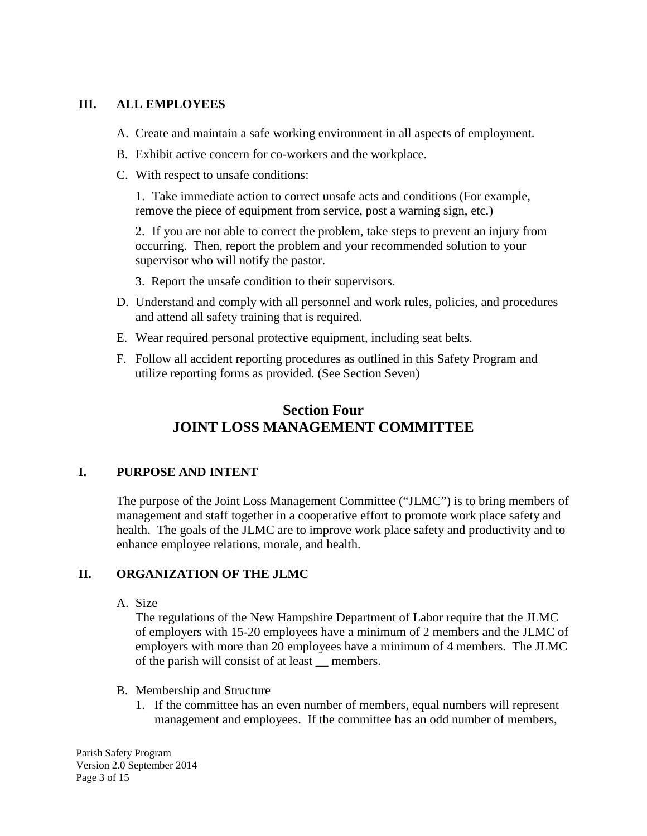#### **III. ALL EMPLOYEES**

- A. Create and maintain a safe working environment in all aspects of employment.
- B. Exhibit active concern for co-workers and the workplace.
- C. With respect to unsafe conditions:

1. Take immediate action to correct unsafe acts and conditions (For example, remove the piece of equipment from service, post a warning sign, etc.)

2. If you are not able to correct the problem, take steps to prevent an injury from occurring. Then, report the problem and your recommended solution to your supervisor who will notify the pastor.

- 3. Report the unsafe condition to their supervisors.
- D. Understand and comply with all personnel and work rules, policies, and procedures and attend all safety training that is required.
- E. Wear required personal protective equipment, including seat belts.
- F. Follow all accident reporting procedures as outlined in this Safety Program and utilize reporting forms as provided. (See Section Seven)

# **Section Four JOINT LOSS MANAGEMENT COMMITTEE**

## **I. PURPOSE AND INTENT**

The purpose of the Joint Loss Management Committee ("JLMC") is to bring members of management and staff together in a cooperative effort to promote work place safety and health. The goals of the JLMC are to improve work place safety and productivity and to enhance employee relations, morale, and health.

#### **II. ORGANIZATION OF THE JLMC**

A. Size

The regulations of the New Hampshire Department of Labor require that the JLMC of employers with 15-20 employees have a minimum of 2 members and the JLMC of employers with more than 20 employees have a minimum of 4 members. The JLMC of the parish will consist of at least \_\_ members.

- B. Membership and Structure
	- 1. If the committee has an even number of members, equal numbers will represent management and employees. If the committee has an odd number of members,

Parish Safety Program Version 2.0 September 2014 Page 3 of 15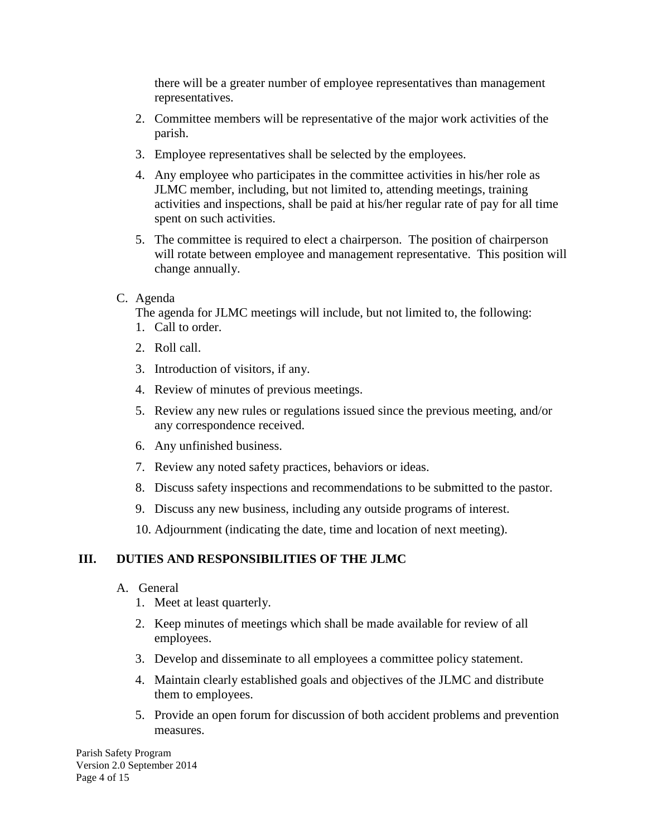there will be a greater number of employee representatives than management representatives.

- 2. Committee members will be representative of the major work activities of the parish.
- 3. Employee representatives shall be selected by the employees.
- 4. Any employee who participates in the committee activities in his/her role as JLMC member, including, but not limited to, attending meetings, training activities and inspections, shall be paid at his/her regular rate of pay for all time spent on such activities.
- 5. The committee is required to elect a chairperson. The position of chairperson will rotate between employee and management representative. This position will change annually.
- C. Agenda

The agenda for JLMC meetings will include, but not limited to, the following: 1. Call to order.

- 2. Roll call.
- 3. Introduction of visitors, if any.
- 4. Review of minutes of previous meetings.
- 5. Review any new rules or regulations issued since the previous meeting, and/or any correspondence received.
- 6. Any unfinished business.
- 7. Review any noted safety practices, behaviors or ideas.
- 8. Discuss safety inspections and recommendations to be submitted to the pastor.
- 9. Discuss any new business, including any outside programs of interest.
- 10. Adjournment (indicating the date, time and location of next meeting).

#### **III. DUTIES AND RESPONSIBILITIES OF THE JLMC**

- A. General
	- 1. Meet at least quarterly.
	- 2. Keep minutes of meetings which shall be made available for review of all employees.
	- 3. Develop and disseminate to all employees a committee policy statement.
	- 4. Maintain clearly established goals and objectives of the JLMC and distribute them to employees.
	- 5. Provide an open forum for discussion of both accident problems and prevention measures.

Parish Safety Program Version 2.0 September 2014 Page 4 of 15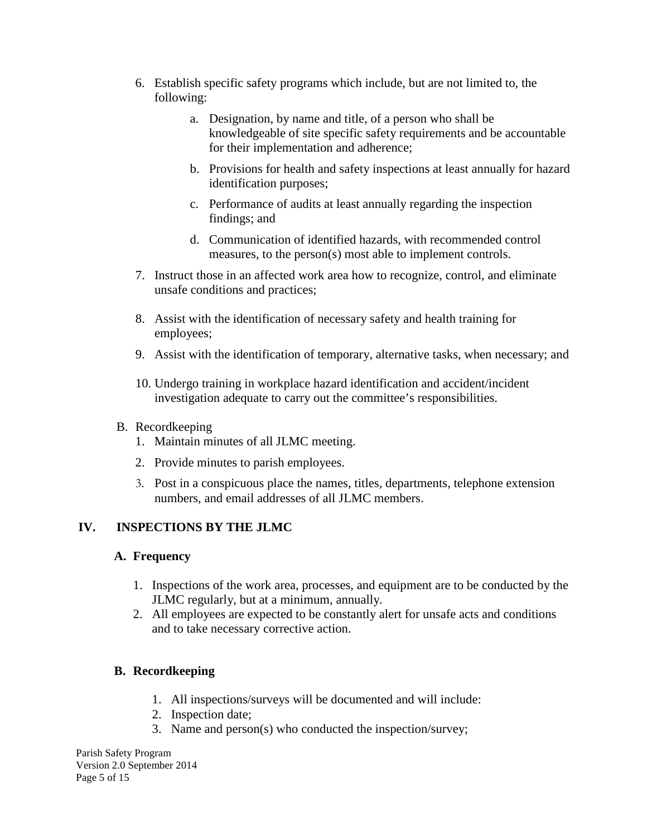- 6. Establish specific safety programs which include, but are not limited to, the following:
	- a. Designation, by name and title, of a person who shall be knowledgeable of site specific safety requirements and be accountable for their implementation and adherence;
	- b. Provisions for health and safety inspections at least annually for hazard identification purposes;
	- c. Performance of audits at least annually regarding the inspection findings; and
	- d. Communication of identified hazards, with recommended control measures, to the person(s) most able to implement controls.
- 7. Instruct those in an affected work area how to recognize, control, and eliminate unsafe conditions and practices;
- 8. Assist with the identification of necessary safety and health training for employees;
- 9. Assist with the identification of temporary, alternative tasks, when necessary; and
- 10. Undergo training in workplace hazard identification and accident/incident investigation adequate to carry out the committee's responsibilities.
- B. Recordkeeping
	- 1. Maintain minutes of all JLMC meeting.
	- 2. Provide minutes to parish employees.
	- 3. Post in a conspicuous place the names, titles, departments, telephone extension numbers, and email addresses of all JLMC members.

## **IV. INSPECTIONS BY THE JLMC**

#### **A. Frequency**

- 1. Inspections of the work area, processes, and equipment are to be conducted by the JLMC regularly, but at a minimum, annually.
- 2. All employees are expected to be constantly alert for unsafe acts and conditions and to take necessary corrective action.

## **B. Recordkeeping**

- 1. All inspections/surveys will be documented and will include:
- 2. Inspection date;
- 3. Name and person(s) who conducted the inspection/survey;

Parish Safety Program Version 2.0 September 2014 Page 5 of 15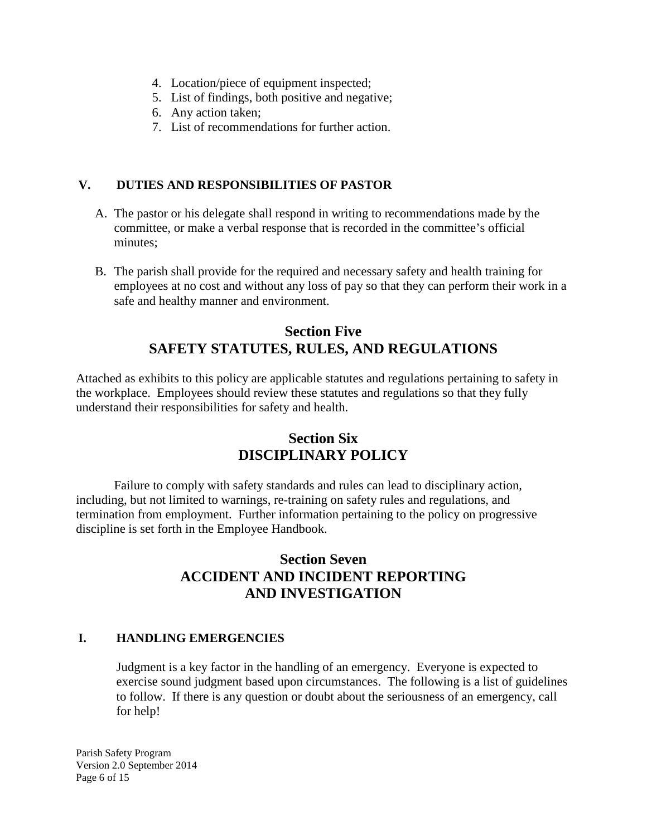- 4. Location/piece of equipment inspected;
- 5. List of findings, both positive and negative;
- 6. Any action taken;
- 7. List of recommendations for further action.

#### **V. DUTIES AND RESPONSIBILITIES OF PASTOR**

- A. The pastor or his delegate shall respond in writing to recommendations made by the committee, or make a verbal response that is recorded in the committee's official minutes;
- B. The parish shall provide for the required and necessary safety and health training for employees at no cost and without any loss of pay so that they can perform their work in a safe and healthy manner and environment.

# **Section Five SAFETY STATUTES, RULES, AND REGULATIONS**

Attached as exhibits to this policy are applicable statutes and regulations pertaining to safety in the workplace. Employees should review these statutes and regulations so that they fully understand their responsibilities for safety and health.

# **Section Six DISCIPLINARY POLICY**

Failure to comply with safety standards and rules can lead to disciplinary action, including, but not limited to warnings, re-training on safety rules and regulations, and termination from employment. Further information pertaining to the policy on progressive discipline is set forth in the Employee Handbook.

## **Section Seven ACCIDENT AND INCIDENT REPORTING AND INVESTIGATION**

## **I. HANDLING EMERGENCIES**

Judgment is a key factor in the handling of an emergency. Everyone is expected to exercise sound judgment based upon circumstances. The following is a list of guidelines to follow. If there is any question or doubt about the seriousness of an emergency, call for help!

Parish Safety Program Version 2.0 September 2014 Page 6 of 15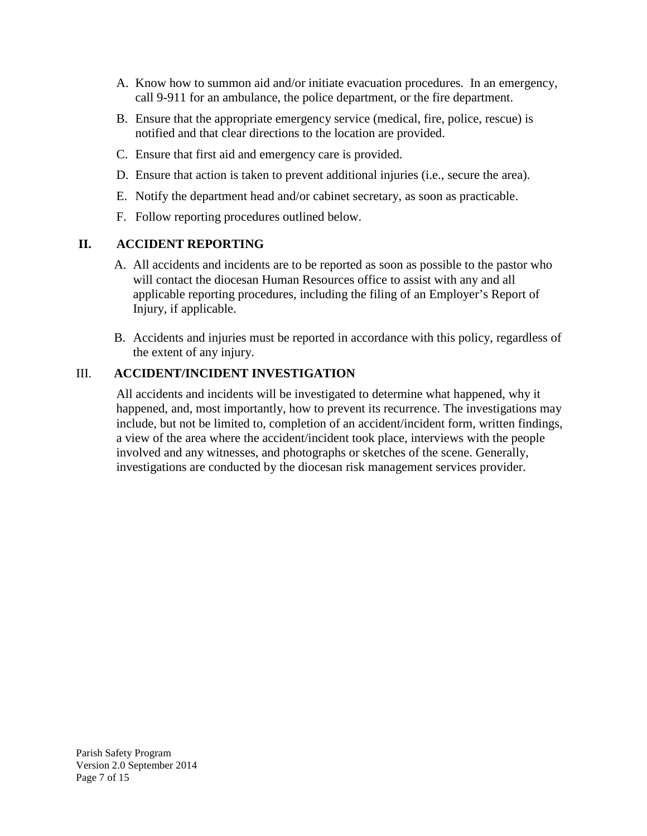- A. Know how to summon aid and/or initiate evacuation procedures. In an emergency, call 9-911 for an ambulance, the police department, or the fire department.
- B. Ensure that the appropriate emergency service (medical, fire, police, rescue) is notified and that clear directions to the location are provided.
- C. Ensure that first aid and emergency care is provided.
- D. Ensure that action is taken to prevent additional injuries (i.e., secure the area).
- E. Notify the department head and/or cabinet secretary, as soon as practicable.
- F. Follow reporting procedures outlined below.

#### **II. ACCIDENT REPORTING**

- A. All accidents and incidents are to be reported as soon as possible to the pastor who will contact the diocesan Human Resources office to assist with any and all applicable reporting procedures, including the filing of an Employer's Report of Injury, if applicable.
- B. Accidents and injuries must be reported in accordance with this policy, regardless of the extent of any injury.

#### III. **ACCIDENT/INCIDENT INVESTIGATION**

All accidents and incidents will be investigated to determine what happened, why it happened, and, most importantly, how to prevent its recurrence. The investigations may include, but not be limited to, completion of an accident/incident form, written findings, a view of the area where the accident/incident took place, interviews with the people involved and any witnesses, and photographs or sketches of the scene. Generally, investigations are conducted by the diocesan risk management services provider.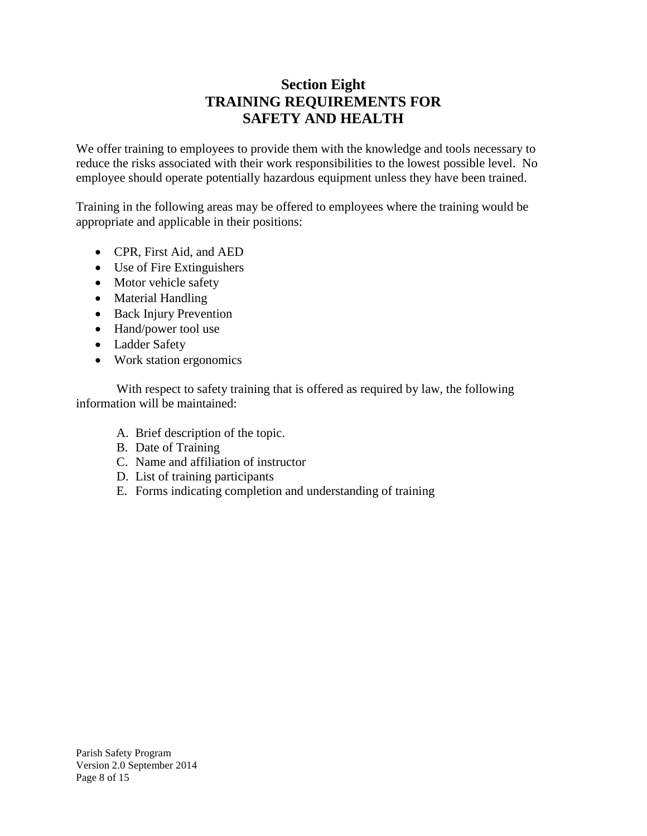# **Section Eight TRAINING REQUIREMENTS FOR SAFETY AND HEALTH**

We offer training to employees to provide them with the knowledge and tools necessary to reduce the risks associated with their work responsibilities to the lowest possible level. No employee should operate potentially hazardous equipment unless they have been trained.

Training in the following areas may be offered to employees where the training would be appropriate and applicable in their positions:

- CPR, First Aid, and AED
- Use of Fire Extinguishers
- Motor vehicle safety
- Material Handling
- Back Injury Prevention
- Hand/power tool use
- Ladder Safety
- Work station ergonomics

With respect to safety training that is offered as required by law, the following information will be maintained:

- A. Brief description of the topic.
- B. Date of Training
- C. Name and affiliation of instructor
- D. List of training participants
- E. Forms indicating completion and understanding of training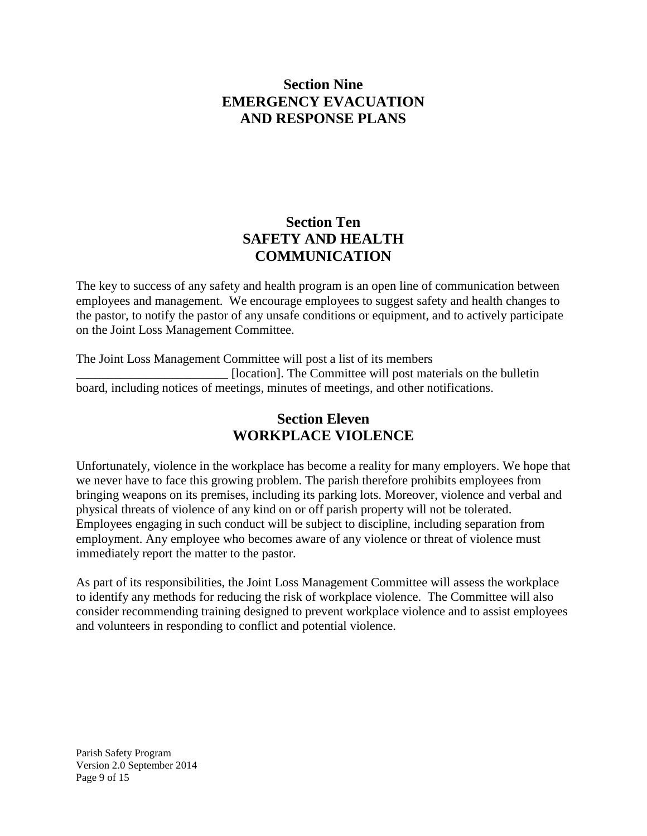## **Section Nine EMERGENCY EVACUATION AND RESPONSE PLANS**

# **Section Ten SAFETY AND HEALTH COMMUNICATION**

The key to success of any safety and health program is an open line of communication between employees and management. We encourage employees to suggest safety and health changes to the pastor, to notify the pastor of any unsafe conditions or equipment, and to actively participate on the Joint Loss Management Committee.

The Joint Loss Management Committee will post a list of its members \_\_\_\_\_\_\_\_\_\_\_\_\_\_\_\_\_\_\_\_\_\_\_\_ [location]. The Committee will post materials on the bulletin board, including notices of meetings, minutes of meetings, and other notifications.

# **Section Eleven WORKPLACE VIOLENCE**

Unfortunately, violence in the workplace has become a reality for many employers. We hope that we never have to face this growing problem. The parish therefore prohibits employees from bringing weapons on its premises, including its parking lots. Moreover, violence and verbal and physical threats of violence of any kind on or off parish property will not be tolerated. Employees engaging in such conduct will be subject to discipline, including separation from employment. Any employee who becomes aware of any violence or threat of violence must immediately report the matter to the pastor.

As part of its responsibilities, the Joint Loss Management Committee will assess the workplace to identify any methods for reducing the risk of workplace violence. The Committee will also consider recommending training designed to prevent workplace violence and to assist employees and volunteers in responding to conflict and potential violence.

Parish Safety Program Version 2.0 September 2014 Page 9 of 15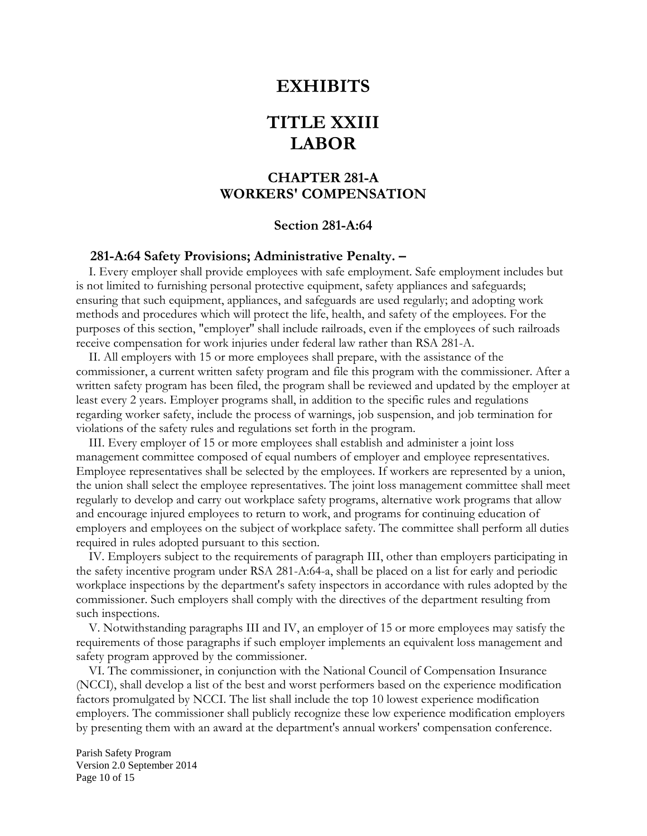## **EXHIBITS**

# **TITLE XXIII LABOR**

## **CHAPTER 281-A WORKERS' COMPENSATION**

#### **Section 281-A:64**

#### **281-A:64 Safety Provisions; Administrative Penalty. –**

I. Every employer shall provide employees with safe employment. Safe employment includes but is not limited to furnishing personal protective equipment, safety appliances and safeguards; ensuring that such equipment, appliances, and safeguards are used regularly; and adopting work methods and procedures which will protect the life, health, and safety of the employees. For the purposes of this section, "employer'' shall include railroads, even if the employees of such railroads receive compensation for work injuries under federal law rather than RSA 281-A.

 II. All employers with 15 or more employees shall prepare, with the assistance of the commissioner, a current written safety program and file this program with the commissioner. After a written safety program has been filed, the program shall be reviewed and updated by the employer at least every 2 years. Employer programs shall, in addition to the specific rules and regulations regarding worker safety, include the process of warnings, job suspension, and job termination for violations of the safety rules and regulations set forth in the program.

 III. Every employer of 15 or more employees shall establish and administer a joint loss management committee composed of equal numbers of employer and employee representatives. Employee representatives shall be selected by the employees. If workers are represented by a union, the union shall select the employee representatives. The joint loss management committee shall meet regularly to develop and carry out workplace safety programs, alternative work programs that allow and encourage injured employees to return to work, and programs for continuing education of employers and employees on the subject of workplace safety. The committee shall perform all duties required in rules adopted pursuant to this section.

 IV. Employers subject to the requirements of paragraph III, other than employers participating in the safety incentive program under RSA 281-A:64-a, shall be placed on a list for early and periodic workplace inspections by the department's safety inspectors in accordance with rules adopted by the commissioner. Such employers shall comply with the directives of the department resulting from such inspections.

 V. Notwithstanding paragraphs III and IV, an employer of 15 or more employees may satisfy the requirements of those paragraphs if such employer implements an equivalent loss management and safety program approved by the commissioner.

 VI. The commissioner, in conjunction with the National Council of Compensation Insurance (NCCI), shall develop a list of the best and worst performers based on the experience modification factors promulgated by NCCI. The list shall include the top 10 lowest experience modification employers. The commissioner shall publicly recognize these low experience modification employers by presenting them with an award at the department's annual workers' compensation conference.

Parish Safety Program Version 2.0 September 2014 Page 10 of 15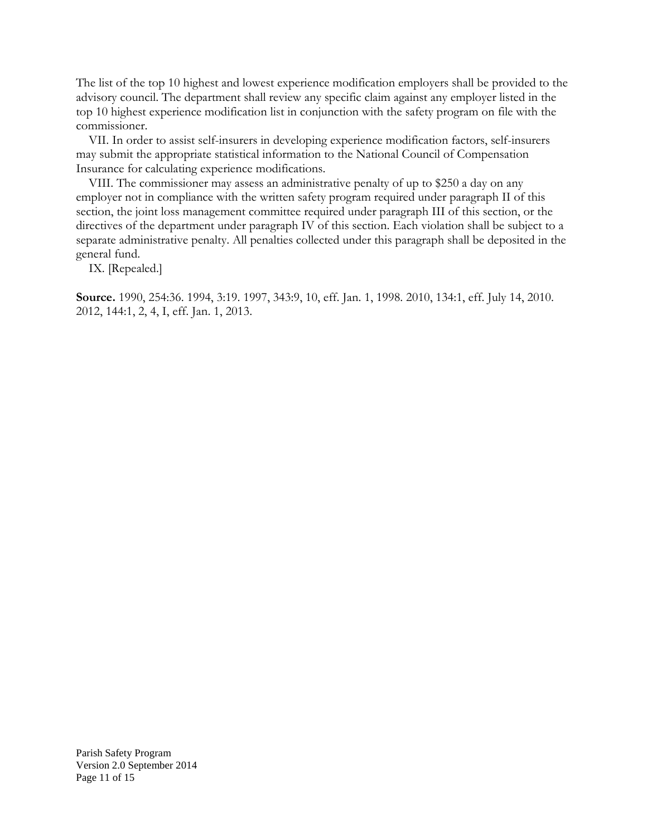The list of the top 10 highest and lowest experience modification employers shall be provided to the advisory council. The department shall review any specific claim against any employer listed in the top 10 highest experience modification list in conjunction with the safety program on file with the commissioner.

 VII. In order to assist self-insurers in developing experience modification factors, self-insurers may submit the appropriate statistical information to the National Council of Compensation Insurance for calculating experience modifications.

 VIII. The commissioner may assess an administrative penalty of up to \$250 a day on any employer not in compliance with the written safety program required under paragraph II of this section, the joint loss management committee required under paragraph III of this section, or the directives of the department under paragraph IV of this section. Each violation shall be subject to a separate administrative penalty. All penalties collected under this paragraph shall be deposited in the general fund.

IX. [Repealed.]

**Source.** 1990, 254:36. 1994, 3:19. 1997, 343:9, 10, eff. Jan. 1, 1998. 2010, 134:1, eff. July 14, 2010. 2012, 144:1, 2, 4, I, eff. Jan. 1, 2013.

Parish Safety Program Version 2.0 September 2014 Page 11 of 15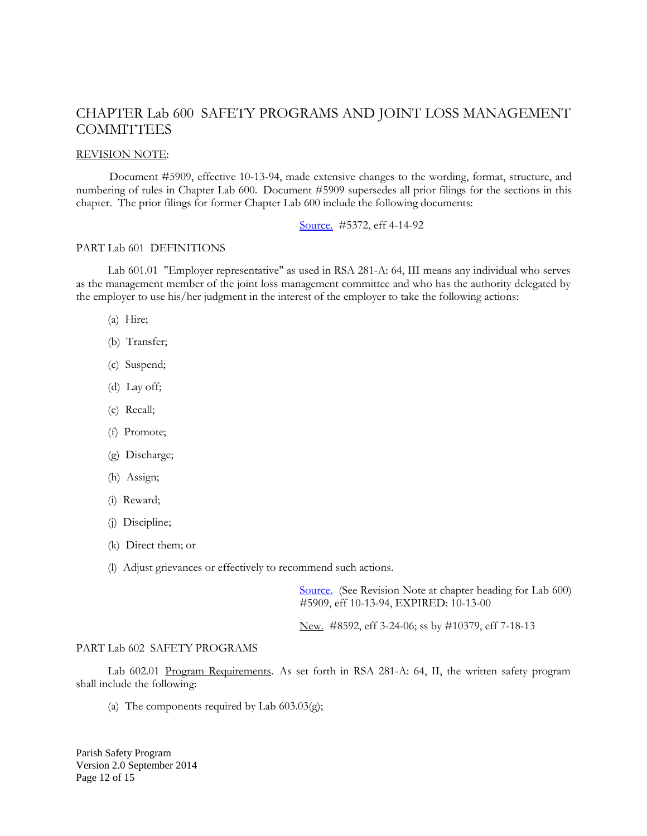## CHAPTER Lab 600 SAFETY PROGRAMS AND JOINT LOSS MANAGEMENT **COMMITTEES**

#### REVISION NOTE:

Document #5909, effective 10-13-94, made extensive changes to the wording, format, structure, and numbering of rules in Chapter Lab 600. Document #5909 supersedes all prior filings for the sections in this chapter. The prior filings for former Chapter Lab 600 include the following documents:

#### [Source.](http://www.gencourt.state.nh.us/rules/state_agencies/sourcelab.html) #5372, eff 4-14-92

#### PART Lab 601 DEFINITIONS

Lab 601.01 "Employer representative" as used in RSA 281-A: 64, III means any individual who serves as the management member of the joint loss management committee and who has the authority delegated by the employer to use his/her judgment in the interest of the employer to take the following actions:

- (a) Hire;
- (b) Transfer;
- (c) Suspend;
- (d) Lay off;
- (e) Recall;
- (f) Promote;
- (g) Discharge;
- (h) Assign;
- (i) Reward;
- (j) Discipline;
- (k) Direct them; or
- (l) Adjust grievances or effectively to recommend such actions.

[Source.](http://www.gencourt.state.nh.us/rules/state_agencies/sourcelab.html) (See Revision Note at chapter heading for Lab 600) #5909, eff 10-13-94, EXPIRED: 10-13-00

New. #8592, eff 3-24-06; ss by #10379, eff 7-18-13

#### PART Lab 602 SAFETY PROGRAMS

Lab 602.01 Program Requirements. As set forth in RSA 281-A: 64, II, the written safety program shall include the following:

(a) The components required by Lab  $603.03$ (g);

Parish Safety Program Version 2.0 September 2014 Page 12 of 15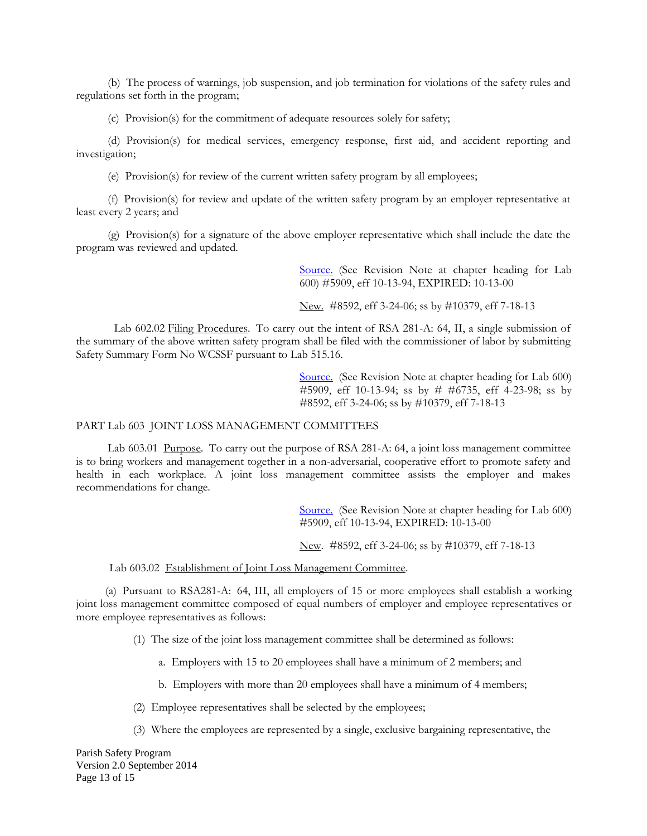(b) The process of warnings, job suspension, and job termination for violations of the safety rules and regulations set forth in the program;

(c) Provision(s) for the commitment of adequate resources solely for safety;

(d) Provision(s) for medical services, emergency response, first aid, and accident reporting and investigation;

(e) Provision(s) for review of the current written safety program by all employees;

(f) Provision(s) for review and update of the written safety program by an employer representative at least every 2 years; and

(g) Provision(s) for a signature of the above employer representative which shall include the date the program was reviewed and updated.

> [Source.](http://www.gencourt.state.nh.us/rules/state_agencies/sourcelab.html) (See Revision Note at chapter heading for Lab 600) #5909, eff 10-13-94, EXPIRED: 10-13-00

New. #8592, eff 3-24-06; ss by #10379, eff 7-18-13

Lab 602.02 Filing Procedures. To carry out the intent of RSA 281-A: 64, II, a single submission of the summary of the above written safety program shall be filed with the commissioner of labor by submitting Safety Summary Form No WCSSF pursuant to Lab 515.16.

> [Source.](http://www.gencourt.state.nh.us/rules/state_agencies/sourcelab.html) (See Revision Note at chapter heading for Lab 600) #5909, eff 10-13-94; ss by # #6735, eff 4-23-98; ss by #8592, eff 3-24-06; ss by #10379, eff 7-18-13

#### PART Lab 603 JOINT LOSS MANAGEMENT COMMITTEES

Lab 603.01 Purpose. To carry out the purpose of RSA 281-A: 64, a joint loss management committee is to bring workers and management together in a non-adversarial, cooperative effort to promote safety and health in each workplace. A joint loss management committee assists the employer and makes recommendations for change.

> [Source.](http://www.gencourt.state.nh.us/rules/state_agencies/sourcelab.html) (See Revision Note at chapter heading for Lab 600) #5909, eff 10-13-94, EXPIRED: 10-13-00

New. #8592, eff 3-24-06; ss by #10379, eff 7-18-13

Lab 603.02 Establishment of Joint Loss Management Committee.

 (a) Pursuant to RSA281-A: 64, III, all employers of 15 or more employees shall establish a working joint loss management committee composed of equal numbers of employer and employee representatives or more employee representatives as follows:

(1) The size of the joint loss management committee shall be determined as follows:

a. Employers with 15 to 20 employees shall have a minimum of 2 members; and

b. Employers with more than 20 employees shall have a minimum of 4 members;

- (2) Employee representatives shall be selected by the employees;
- (3) Where the employees are represented by a single, exclusive bargaining representative, the

Parish Safety Program Version 2.0 September 2014 Page 13 of 15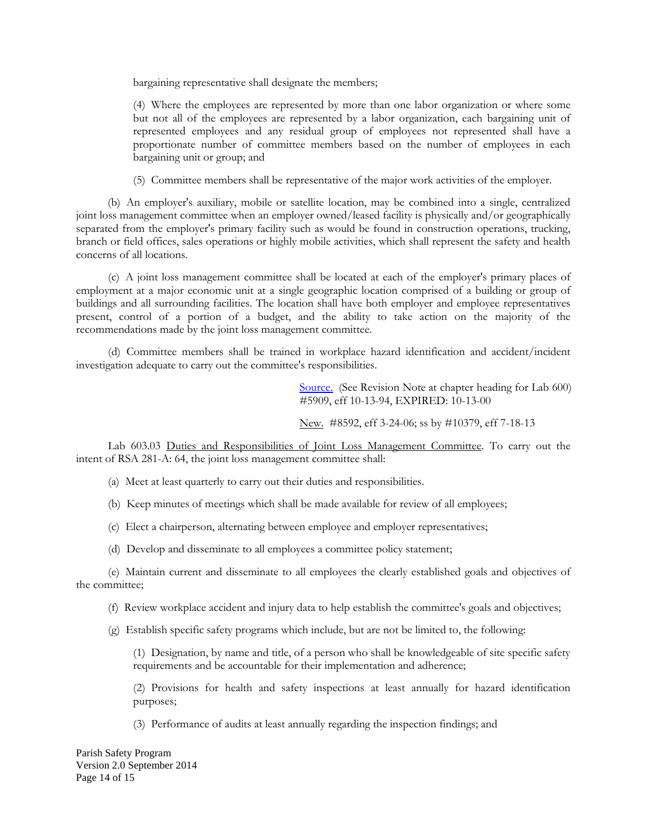bargaining representative shall designate the members;

(4) Where the employees are represented by more than one labor organization or where some but not all of the employees are represented by a labor organization, each bargaining unit of represented employees and any residual group of employees not represented shall have a proportionate number of committee members based on the number of employees in each bargaining unit or group; and

(5) Committee members shall be representative of the major work activities of the employer.

(b) An employer's auxiliary, mobile or satellite location, may be combined into a single, centralized joint loss management committee when an employer owned/leased facility is physically and/or geographically separated from the employer's primary facility such as would be found in construction operations, trucking, branch or field offices, sales operations or highly mobile activities, which shall represent the safety and health concerns of all locations.

(c) A joint loss management committee shall be located at each of the employer's primary places of employment at a major economic unit at a single geographic location comprised of a building or group of buildings and all surrounding facilities. The location shall have both employer and employee representatives present, control of a portion of a budget, and the ability to take action on the majority of the recommendations made by the joint loss management committee.

(d) Committee members shall be trained in workplace hazard identification and accident/incident investigation adequate to carry out the committee's responsibilities.

> [Source.](http://www.gencourt.state.nh.us/rules/state_agencies/sourcelab.html) (See Revision Note at chapter heading for Lab 600) #5909, eff 10-13-94, EXPIRED: 10-13-00

New. #8592, eff 3-24-06; ss by #10379, eff 7-18-13

Lab 603.03 Duties and Responsibilities of Joint Loss Management Committee. To carry out the intent of RSA 281-A: 64, the joint loss management committee shall:

- (a) Meet at least quarterly to carry out their duties and responsibilities.
- (b) Keep minutes of meetings which shall be made available for review of all employees;
- (c) Elect a chairperson, alternating between employee and employer representatives;
- (d) Develop and disseminate to all employees a committee policy statement;

(e) Maintain current and disseminate to all employees the clearly established goals and objectives of the committee;

(f) Review workplace accident and injury data to help establish the committee's goals and objectives;

(g) Establish specific safety programs which include, but are not be limited to, the following:

(1) Designation, by name and title, of a person who shall be knowledgeable of site specific safety requirements and be accountable for their implementation and adherence;

(2) Provisions for health and safety inspections at least annually for hazard identification purposes;

(3) Performance of audits at least annually regarding the inspection findings; and

Parish Safety Program Version 2.0 September 2014 Page 14 of 15